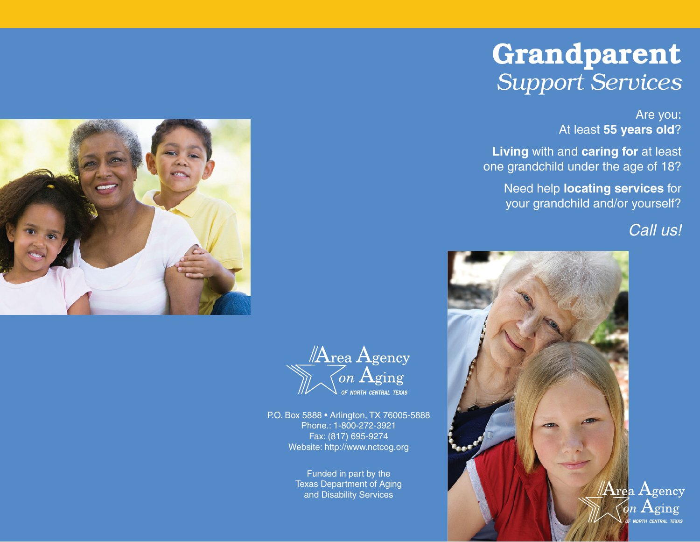## **Grandparent** *Support Services*

Are you: At least **55 years old**?

**Living** with and **caring for** at least one grandchild under the age of 18?

Need help **locating services** for your grandchild and/or yourself?

### Call us!







P.O. Box 5888 • Arlington, TX 76005-5888 Phone.: 1-800-272-3921 Fax: (817) 695-9274 Website: http://www.nctcog.org

> Funded in part by the Texas Department of Aging and Disability Services